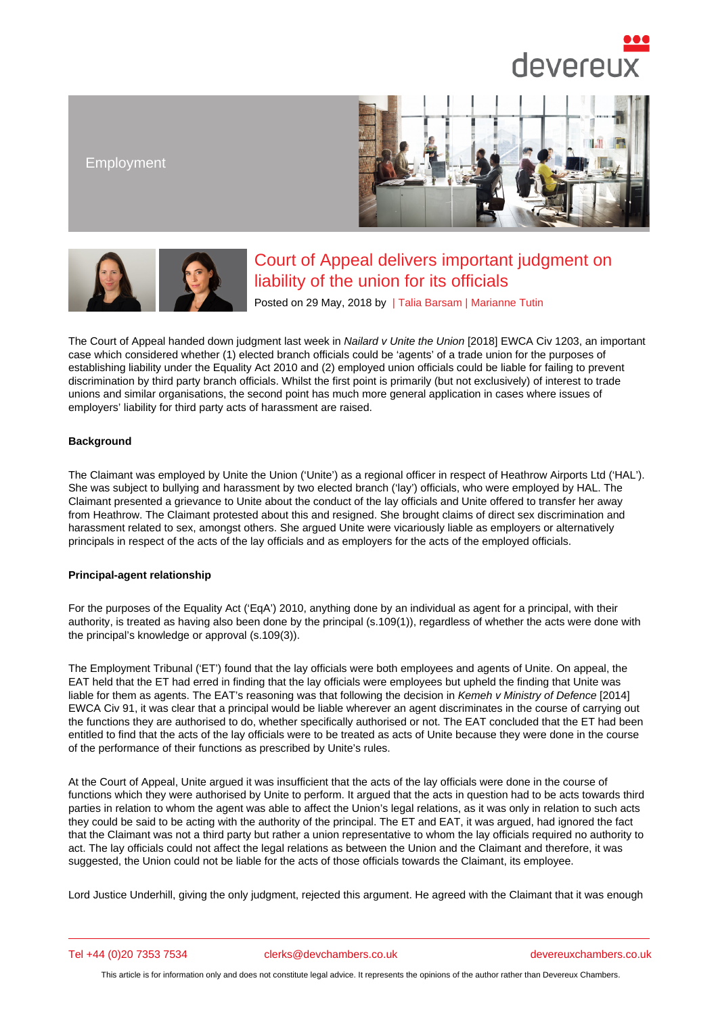## Employment

# Court of Appeal delivers important judgment on liability of the union for its officials

Posted on 29 May, 2018 by | Talia Barsam | Marianne Tutin

The Court of Appeal handed down judgment last week in Nailard v Unite the Union [2018] EWCA Civ 1203, an important case which considered whether (1) elected branch officials could be 'agents' of a trade union for the purposes of establishing liability under the Equality Act 2010 and (2) employed u[nion officials c](/barristers/profile/talia-barsam)o[uld be liable for](/barristers/profile/marianne-tutin) failing to prevent discrimination by third party branch officials. Whilst the first point is primarily (but not exclusively) of interest to trade unions and similar organisations, the second point has m[uch more general applicati](http://www.bailii.org/ew/cases/EWCA/Civ/2018/1203.html)on in cases where issues of employers' liability for third party acts of harassment are raised.

### **Background**

The Claimant was employed by Unite the Union ('Unite') as a regional officer in respect of Heathrow Airports Ltd ('HAL'). She was subject to bullying and harassment by two elected branch ('lay') officials, who were employed by HAL. The Claimant presented a grievance to Unite about the conduct of the lay officials and Unite offered to transfer her away from Heathrow. The Claimant protested about this and resigned. She brought claims of direct sex discrimination and harassment related to sex, amongst others. She argued Unite were vicariously liable as employers or alternatively principals in respect of the acts of the lay officials and as employers for the acts of the employed officials.

### Principal-agent relationship

For the purposes of the Equality Act ('EqA') 2010, anything done by an individual as agent for a principal, with their authority, is treated as having also been done by the principal (s.109(1)), regardless of whether the acts were done with the principal's knowledge or approval (s.109(3)).

The Employment Tribunal ('ET') found that the lay officials were both employees and agents of Unite. On appeal, the EAT held that the ET had erred in finding that the lay officials were employees but upheld the finding that Unite was liable for them as agents. The EAT's reasoning was that following the decision in Kemeh v Ministry of Defence [2014] EWCA Civ 91, it was clear that a principal would be liable wherever an agent discriminates in the course of carrying out the functions they are authorised to do, whether specifically authorised or not. The EAT concluded that the ET had been entitled to find that the acts of the lay officials were to be treated as acts of Unite because they were done in the course of the performance of their functions as prescribed by Unite's rules.

At the Court of Appeal, Unite argued it was insufficient that the acts of the lay officials were done in the course of functions which they were authorised by Unite to perform. It argued that the acts in question had to be acts towards third parties in relation to whom the agent was able to affect the Union's legal relations, as it was only in relation to such acts they could be said to be acting with the authority of the principal. The ET and EAT, it was argued, had ignored the fact that the Claimant was not a third party but rather a union representative to whom the lay officials required no authority to act. The lay officials could not affect the legal relations as between the Union and the Claimant and therefore, it was suggested, the Union could not be liable for the acts of those officials towards the Claimant, its employee.

Lord Justice Underhill, giving the only judgment, rejected this argument. He agreed with the Claimant that it was enough

Tel +44 (0)20 7353 7534 clerks@devchambers.co.uk devereuxchambers.co.uk

This article is for information only and does not constitute legal advice. It represents the opinions of the author rather than Devereux Chambers.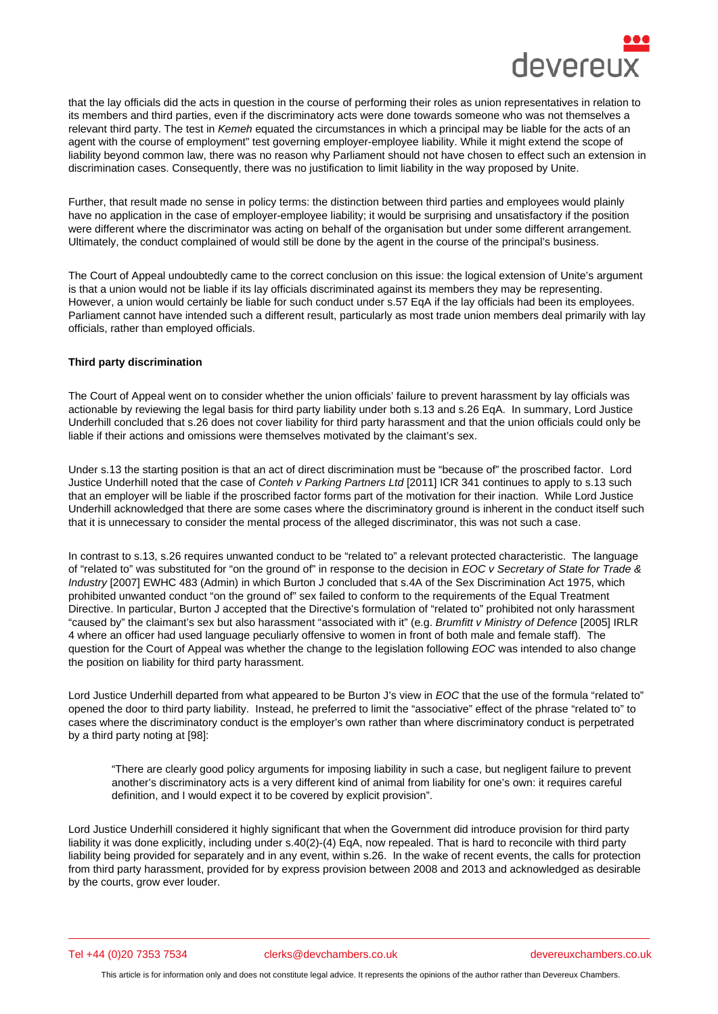that the lay officials did the acts in question in the course of performing their roles as union representatives in relation to its members and third parties, even if the discriminatory acts were done towards someone who was not themselves a relevant third party. The test in Kemeh equated the circumstances in which a principal may be liable for the acts of an agent with the course of employment" test governing employer-employee liability. While it might extend the scope of liability beyond common law, there was no reason why Parliament should not have chosen to effect such an extension in discrimination cases. Consequently, there was no justification to limit liability in the way proposed by Unite.

Further, that result made no sense in policy terms: the distinction between third parties and employees would plainly have no application in the case of employer-employee liability; it would be surprising and unsatisfactory if the position were different where the discriminator was acting on behalf of the organisation but under some different arrangement. Ultimately, the conduct complained of would still be done by the agent in the course of the principal's business.

The Court of Appeal undoubtedly came to the correct conclusion on this issue: the logical extension of Unite's argument is that a union would not be liable if its lay officials discriminated against its members they may be representing. However, a union would certainly be liable for such conduct under s.57 EqA if the lay officials had been its employees. Parliament cannot have intended such a different result, particularly as most trade union members deal primarily with lay officials, rather than employed officials.

#### Third party discrimination

The Court of Appeal went on to consider whether the union officials' failure to prevent harassment by lay officials was actionable by reviewing the legal basis for third party liability under both s.13 and s.26 EqA. In summary, Lord Justice Underhill concluded that s.26 does not cover liability for third party harassment and that the union officials could only be liable if their actions and omissions were themselves motivated by the claimant's sex.

Under s.13 the starting position is that an act of direct discrimination must be "because of" the proscribed factor. Lord Justice Underhill noted that the case of Conteh v Parking Partners Ltd [2011] ICR 341 continues to apply to s.13 such that an employer will be liable if the proscribed factor forms part of the motivation for their inaction. While Lord Justice Underhill acknowledged that there are some cases where the discriminatory ground is inherent in the conduct itself such that it is unnecessary to consider the mental process of the alleged discriminator, this was not such a case.

In contrast to s.13, s.26 requires unwanted conduct to be "related to" a relevant protected characteristic. The language of "related to" was substituted for "on the ground of" in response to the decision in EOC v Secretary of State for Trade & Industry [2007] EWHC 483 (Admin) in which Burton J concluded that s.4A of the Sex Discrimination Act 1975, which prohibited unwanted conduct "on the ground of" sex failed to conform to the requirements of the Equal Treatment Directive. In particular, Burton J accepted that the Directive's formulation of "related to" prohibited not only harassment "caused by" the claimant's sex but also harassment "associated with it" (e.g. Brumfitt v Ministry of Defence [2005] IRLR 4 where an officer had used language peculiarly offensive to women in front of both male and female staff). The question for the Court of Appeal was whether the change to the legislation following EOC was intended to also change the position on liability for third party harassment.

Lord Justice Underhill departed from what appeared to be Burton J's view in EOC that the use of the formula "related to" opened the door to third party liability. Instead, he preferred to limit the "associative" effect of the phrase "related to" to cases where the discriminatory conduct is the employer's own rather than where discriminatory conduct is perpetrated by a third party noting at [98]:

"There are clearly good policy arguments for imposing liability in such a case, but negligent failure to prevent another's discriminatory acts is a very different kind of animal from liability for one's own: it requires careful definition, and I would expect it to be covered by explicit provision".

Lord Justice Underhill considered it highly significant that when the Government did introduce provision for third party liability it was done explicitly, including under s.40(2)-(4) EqA, now repealed. That is hard to reconcile with third party liability being provided for separately and in any event, within s.26. In the wake of recent events, the calls for protection from third party harassment, provided for by express provision between 2008 and 2013 and acknowledged as desirable by the courts, grow ever louder.

Tel +44 (0)20 7353 7534 clerks@devchambers.co.uk devereuxchambers.co.uk

This article is for information only and does not constitute legal advice. It represents the opinions of the author rather than Devereux Chambers.